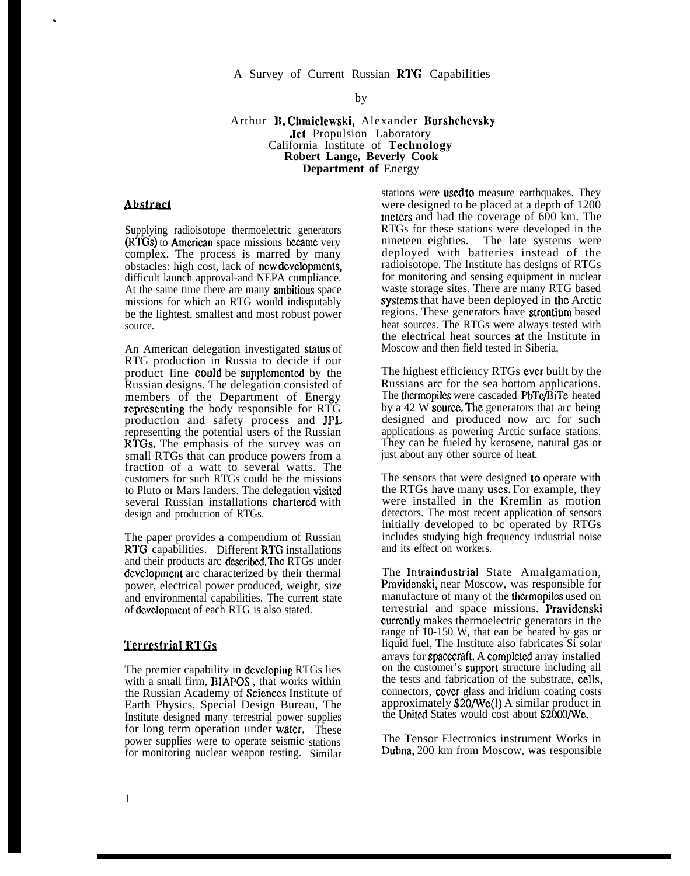### A Survey of Current Russian RTG Capabilities

by

#### Arthur B. Chmielewski, Alexander Borshchevsky Jet Propulsion Laboratory California Institute of **Technology Robert Lange, Beverly Cook Department of** Energy

### **Abstract**

.

Supplying radioisotope thermoelectric generators (RTGs) to Amcriean space missions Eccamc very complex. The process is marred by many obstacles: high cost, lack of ncw dcvclopmcnts, difficult launch approval-and NEPA compliance. At the same time there are many **ambitious** space missions for which an RTG would indisputably be the lightest, smallest and most robust power source.

An American delegation investigated status of RTG production in Russia to decide if our product line could be supplemented by the Russian designs. The delegation consisted of members of the Department of Energy rcprcscnting the body responsible for RTG production and safety process and JPI. representing the potential users of the Russian RTGs. The emphasis of the survey was on small RTGs that can produce powers from a fraction of a watt to several watts. The customers for such RTGs could be the missions to Pluto or Mars landers. The delegation visited several Russian installations chartered with design and production of RTGs.

The paper provides a compendium of Russian RTG capabilities. Different RTG installations and their products arc described. The RTGs under dcvclopment arc characterized by their thermal power, electrical power produced, weight, size and environmental capabilities. The current state of dcvclopmcnt of each RTG is also stated.

### **Terrestrial RTGs**

The premier capability in dcvcloping RTGs lies with a small firm, BIAPOS , that works within the Russian Academy of Scicnccs Institute of Earth Physics, Special Design Bureau, The Institute designed many terrestrial power supplies for long term operation under water. These power supplies were to operate seismic stations for monitoring nuclear weapon testing. Similar

stations were used to measure earthquakes. They were designed to be placed at a depth of 1200 meters and had the coverage of 600 km. The RTGs for these stations were developed in the nineteen eighties. The late systems were deployed with batteries instead of the radioisotope. The Institute has designs of RTGs for monitoring and sensing equipment in nuclear waste storage sites. There are many RTG based syslcms that have been deployed in the Arctic regions. These generators have strontium based heat sources. The RTGs were always tested with the electrical heat sources at the Institute in Moscow and then field tested in Siberia,

The highest efficiency RTGs ever built by the Russians arc for the sea bottom applications. The thcrmopiles were cascaded PbTe/BiTe heated by a 42 W source. The generators that arc being designed and produced now arc for such applications as powering Arctic surface stations. They can be fueled by kerosene, natural gas or just about any other source of heat.

The sensors that were designed to operate with the RTGs have many uses. For example, they were installed in the Kremlin as motion detectors. The most recent application of sensors initially developed to bc operated by RTGs includes studying high frequency industrial noise and its effect on workers.

The Intraindustrial State Amalgamation, Pravidcnski, near Moscow, was responsible for manufacture of many of the thcrmopilcs used on terrestrial and space missions. Pravidcnski currently makes thermoelectric generators in the range of 10-150 W, that ean be heated by gas or liquid fuel, The Institute also fabricates Si solar arrays for spacczraft. A eomplcted array installed on the customer's support structure including all the tests and fabrication of the substrate, CC1lS, connectors, eovcr glass and iridium coating costs approximately \$20/We(!) A similar product in the United States would cost about \$2000/We.

The Tensor Electronics instrument Works in Dubna, 200 km from Moscow, was responsible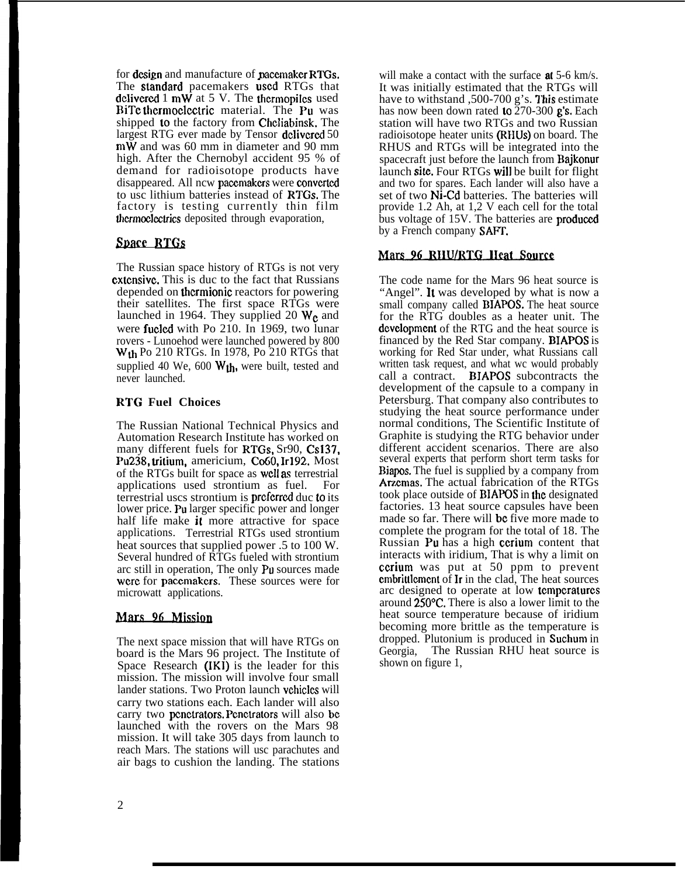for design and manufacture of pacemaker RTGs. The **standard** pacemakers used RTGs that dclivered  $1 \text{ mW}$  at  $5 \text{ V}$ . The thermopiles used BiTc thermoelectric material. The Pu was shipped to the factory from Chcliabinsk. The largest RTG ever made by Tensor delivered 50 mW and was 60 mm in diameter and 90 mm high. After the Chernobyl accident 95 % of demand for radioisotope products have disappeared. All ncw pacemakers were converted to usc lithium batteries instead of RTGs. The factory is testing currently thin film thcrmoelcctrics deposited through evaporation,

# **Space RTGs**

The Russian space history of RTGs is not very **extensive.** This is due to the fact that Russians depended on thcrmionic reactors for powering their satellites. The first space RTGs were launched in 1964. They supplied 20  $W_c$  and were fucled with Po 210. In 1969, two lunar rovers - Lunoehod were launched powered by 800  $W<sub>th</sub>$  Po 210 RTGs. In 1978, Po 210 RTGs that supplied 40 We, 600  $W<sub>th</sub>$ , were built, tested and never launched.

### **R'I'G Fuel Choices**

The Russian National Technical Physics and Automation Research Institute has worked on many different fuels for RTGs, Sr90, Cs137, Pu<sub>238</sub>, tritium, americium, Co<sub>60</sub>, Ir192. Most of the RTGs built for space as well as terrestrial applications used strontium as fuel. For terrestrial uscs strontium is prcfcrrcd duc to its lower price. Pu larger specific power and longer half life make it more attractive for space applications. Terrestrial RTGs used strontium heat sources that supplied power .5 to 100 W. Several hundred of RTGs fueled with strontium arc still in operation, The only Pu sources made were for pacemakers. These sources were for microwatt applications.

# Mars 96 Mission

The next space mission that will have RTGs on board is the Mars 96 project. The Institute of Space Research (IKI) is the leader for this mission. The mission will involve four small lander stations. Two Proton launch vchicles will carry two stations each. Each lander will also carry two pcnctrators. Pcnctrators will also bc launched with the rovers on the Mars 98 mission. It will take 305 days from launch to reach Mars. The stations will usc parachutes and air bags to cushion the landing. The stations

will make a contact with the surface **at** 5-6 km/s. It was initially estimated that the RTGs will have to withstand ,500-700 g's. This estimate has now been down rated to  $270-300$  g's. Each station will have two RTGs and two Russian radioisotope heater units (RHUS) on board. The RHUS and RTGs will be integrated into the spacecraft just before the launch from Bajkonur launch site. Four RTGs will be built for flight and two for spares. Each lander will also have a set of two Ni-Cd batteries. The batteries will provide 1.2 Ah, at 1,2 V each cell for the total bus voltage of 15V. The batteries are produced by a French company **SAFT.** 

# Mars 96 RHU/RTG Heat Source

The code name for the Mars 96 heat source is "Angel". It was developed by what is now a small company called BIAPOS. The heat source for the RTG doubles as a heater unit. The dcvclopmcnt of the RTG and the heat source is financed by the Red Star company. BIAPOS is working for Red Star under, what Russians call written task request, and what wc would probably call a contract. BIAPOS subcontracts the development of the capsule to a company in Petersburg. That company also contributes to studying the heat source performance under normal conditions, The Scientific Institute of Graphite is studying the RTG behavior under different accident scenarios. There are also several experts that perform short term tasks for Biapos. The fuel is supplied by a company from Arzemas. The actual fabrication of the RTGs took place outside of BIAPOS in lhe designated factories. 13 heat source capsules have been made so far. There will be five more made to complete the program for the total of 18. The Russian Pu has a high ccrium content that interacts with iridium, That is why a limit on ccrium was put at 50 ppm to prevent cmbrittlcmcnt of Ir in the clad, The heat sources arc designed to operate at low tcmpcraturcs around 250°C. There is also a lower limit to the heat source temperature because of iridium becoming more brittle as the temperature is dropped. Plutonium is produced in **Suchum** in Georgia, The Russian RHU heat source is shown on figure 1,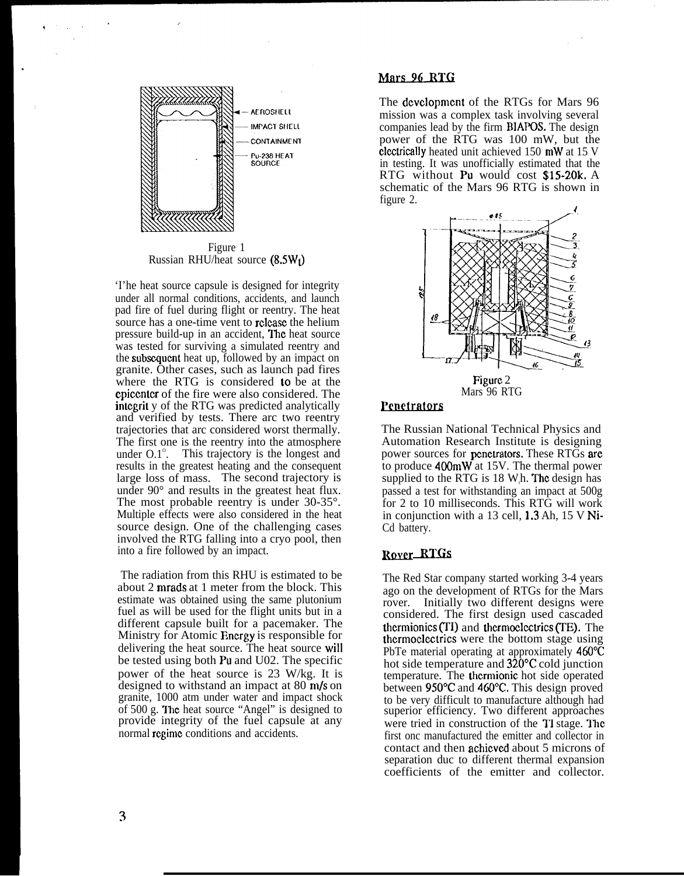

Figure 1 Russian RHU/heat source  $(8.5W<sub>f</sub>)$ 

'I'he heat source capsule is designed for integrity under all normal conditions, accidents, and launch pad fire of fuel during flight or reentry. The heat source has a one-time vent to rclcasc the helium pressure build-up in an accident, Thc heat source was tested for surviving a simulated reentry and the subsequent heat up, followed by an impact on granite. Other cases, such as launch pad fires where the RTG is considered to be at the epiccntcr of the fire were also considered. The intcgrit y of the RTG was predicted analytically and verified by tests. There arc two reentry trajectories that arc considered worst thermally. The first one is the reentry into the atmosphere under  $0.1^{\circ}$ . This trajectory is the longest and results in the greatest heating and the consequent large loss of mass. The second trajectory is under 90° and results in the greatest heat flux. The most probable reentry is under 30-35°. Multiple effects were also considered in the heat source design. One of the challenging cases involved the RTG falling into a cryo pool, then into a fire followed by an impact.

The radiation from this RHU is estimated to be about 2 mrads at 1 meter from the block. This estimate was obtained using the same plutonium fuel as will be used for the flight units but in a different capsule built for a pacemaker. The Ministry for Atomic Energy is responsible for delivering the heat source. The heat source will be tested using both Pu and U02. The specific power of the heat source is 23 W/kg. It is designed to withstand an impact at  $80 \text{ m/s}$  on granite, 1000 atm under water and impact shock of  $500$  g. The heat source "Angel" is designed to provide integrity of the fuel capsule at any normal regime conditions and accidents.

### Mars 96 RTG

The dcvclopmcnt of the RTGs for Mars 96 mission was a complex task involving several companies lead by the firm BIAPOS. The design power of the RTG was 100 mW, but the electrically heated unit achieved 150 mW at 15 V in testing. It was unofficially estimated that the RTG without Pu would cost \$15-20k. A schematic of the Mars 96 RTG is shown in figure 2.



### Penetrators

The Russian National Technical Physics and Automation Research Institute is designing power sources for penetrators. These RTGs are to produce 400mW at 15V. The thermal power supplied to the RTG is  $18 \text{ W}$ h. The design has passed a test for withstanding an impact at 500g for 2 to 10 milliseconds. This RTG will work in conjunction with a 13 cell, 1.3 Ah, 15 V Ni-Cd battery.

### Rover\_RTGs

The Red Star company started working 3-4 years ago on the development of RTGs for the Mars rover. Initially two different designs were considered. The first design used cascaded thermionics (TI) and thermoelectrics (TE). The thcrmoclcctrics were the bottom stage using PbTe material operating at approximately 460 °C hot side temperature and  $320^{\circ}$ C cold junction temperature. The thermionic hot side operated between 950°C and 460°C. This design proved to be very difficult to manufacture although had superior efficiency. Two different approaches were tried in construction of the TI stage. The first onc manufactured the emitter and collector in contact and then achicvcd about 5 microns of separation duc to different thermal expansion coefficients of the emitter and collector.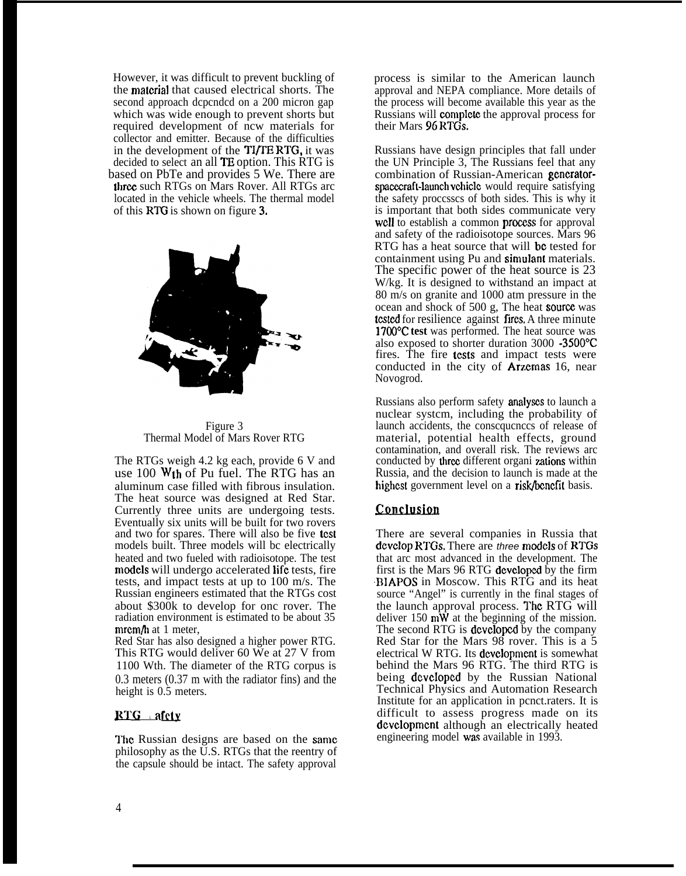However, it was difficult to prevent buckling of the **material** that caused electrical shorts. The second approach dcpcndcd on a 200 micron gap which was wide enough to prevent shorts but required development of ncw materials for collector and emitter. Because of the difficulties in the development of the TI/TE RTG, it was decided to select an all TE option. This RTG is based on PbTe and provides 5 We. There are three such RTGs on Mars Rover. All RTGs arc located in the vehicle wheels. The thermal model of this RTG is shown on figure 3.



Figure 3 Thermal Model of Mars Rover RTG

The RTGs weigh 4.2 kg each, provide 6 V and use  $100 \text{ Wth}$  of Pu fuel. The RTG has an aluminum case filled with fibrous insulation. The heat source was designed at Red Star. Currently three units are undergoing tests. Eventually six units will be built for two rovers and two for spares. There will also be five **test** models built. Three models will bc electrically heated and two fueled with radioisotope. The test models will undergo accelerated life tests, fire tests, and impact tests at up to 100 m/s. The Russian engineers estimated that the RTGs cost about \$300k to develop for onc rover. The radiation environment is estimated to be about 35  $m$ rm $/h$  at 1 meter,

Red Star has also designed a higher power RTG. This RTG would deliver 60 We at 27 V from 1100 Wth. The diameter of the RTG corpus is 0.3 meters (0.37 m with the radiator fins) and the height is 0.5 meters.

### $RTG$  afcly

The Russian designs are based on the same philosophy as the U.S. RTGs that the reentry of the capsule should be intact. The safety approval

process is similar to the American launch approval and NEPA compliance. More details of the process will become available this year as the Russians will complctc the approval process for their Mars 96 RTGs.

Russians have design principles that fall under the UN Principle 3, The Russians feel that any combination of Russian-American generatorspacecraft-launch vchicle would require satisfying the safety proccsscs of both sides. This is why it is important that both sides communicate very well to establish a common process for approval and safety of the radioisotope sources. Mars 96 RTG has a heat source that will be tested for containment using Pu and simulant materials. The specific power of the heat source is 23 W/kg. It is designed to withstand an impact at 80 m/s on granite and 1000 atm pressure in the  $ocean$  and shock of 500 g, The heat source was tested for resilience against fires. A three minute 1700°C test was performed. The heat source was also exposed to shorter duration 3000 -3500"C fires. The fire tests and impact tests were conducted in the city of Arzemas 16, near Novogrod.

Russians also perform safety **analyses** to launch a nuclear systcm, including the probability of launch accidents, the conscqucnccs of release of material, potential health effects, ground contamination, and overall risk. The reviews arc conducted by three different organi zations within Russia, and the decision to launch is made at the highest government level on a risk/benefit basis.

# Conclusion

There are several companies in Russia that dcvcIop RTGs, There are three models of RTGs that arc most advanced in the development. The first is the Mars 96 RTG dcvclopcd by the firm BIAPOS in Moscow. This RTG and its heat source "Angel" is currently in the final stages of the launch approval process. The RTG will deliver 150  $\hat{m}\hat{W}$  at the beginning of the mission. The second RTG is **developed** by the company Red Star for the Mars 98 rover. This is a 5 electrical W RTG. Its dcvclopmcnt is somewhat behind the Mars 96 RTG. The third RTG is being dcvclopcd by the Russian National Technical Physics and Automation Research Institute for an application in pcnct.raters. It is difficult to assess progress made on its development although an electrically heated engineering model was available in 1993.